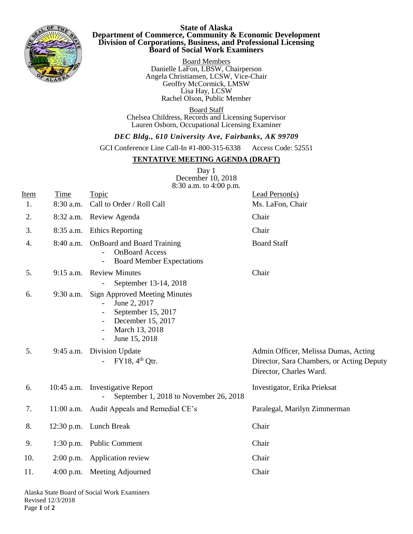

## **State of Alaska Department of Commerce, Community & Economic Development Division of Corporations, Business, and Professional Licensing Board of Social Work Examiners**

Board Members Danielle LaFon, LBSW, Chairperson Angela Christiansen, LCSW, Vice-Chair Geoffry McCormick, LMSW Lisa Hay, LCSW Rachel Olson, Public Member.

Board Staff Chelsea Childress, Records and Licensing Supervisor Lauren Osborn, Occupational Licensing Examiner

## *DEC Bldg., 610 University Ave, Fairbanks, AK 99709*

GCI Conference Line Call-In #1-800-315-6338 Access Code: 52551

## **TENTATIVE MEETING AGENDA (DRAFT)**

Day 1 December 10, 2018 8:30 a.m. to 4:00 p.m.

| Item<br>1. | Time<br>8:30 a.m. | Topic<br>Call to Order / Roll Call                                                                                                                   | Lead Person(s)<br>Ms. LaFon, Chair                                                                           |
|------------|-------------------|------------------------------------------------------------------------------------------------------------------------------------------------------|--------------------------------------------------------------------------------------------------------------|
| 2.         |                   | 8:32 a.m. Review Agenda                                                                                                                              | Chair                                                                                                        |
| 3.         |                   | 8:35 a.m. Ethics Reporting                                                                                                                           | Chair                                                                                                        |
| 4.         | 8:40 a.m.         | <b>OnBoard and Board Training</b><br><b>OnBoard Access</b><br><b>Board Member Expectations</b><br>$\blacksquare$                                     | <b>Board Staff</b>                                                                                           |
| 5.         |                   | 9:15 a.m. Review Minutes<br>September 13-14, 2018                                                                                                    | Chair                                                                                                        |
| 6.         | $9:30$ a.m.       | <b>Sign Approved Meeting Minutes</b><br>June 2, 2017<br>September 15, 2017<br>December 15, 2017<br>March 13, 2018<br>June 15, 2018<br>$\blacksquare$ |                                                                                                              |
| 5.         |                   | 9:45 a.m. Division Update<br>$FY18, 4th$ Qtr.                                                                                                        | Admin Officer, Melissa Dumas, Acting<br>Director, Sara Chambers, or Acting Deputy<br>Director, Charles Ward. |
| 6.         |                   | 10:45 a.m. Investigative Report<br>September 1, 2018 to November 26, 2018                                                                            | Investigator, Erika Prieksat                                                                                 |
| 7.         |                   | 11:00 a.m. Audit Appeals and Remedial CE's                                                                                                           | Paralegal, Marilyn Zimmerman                                                                                 |
| 8.         |                   | 12:30 p.m. Lunch Break                                                                                                                               | Chair                                                                                                        |
| 9.         |                   | 1:30 p.m. Public Comment                                                                                                                             | Chair                                                                                                        |
| 10.        |                   | 2:00 p.m. Application review                                                                                                                         | Chair                                                                                                        |
| 11.        |                   | 4:00 p.m. Meeting Adjourned                                                                                                                          | Chair                                                                                                        |
|            |                   |                                                                                                                                                      |                                                                                                              |